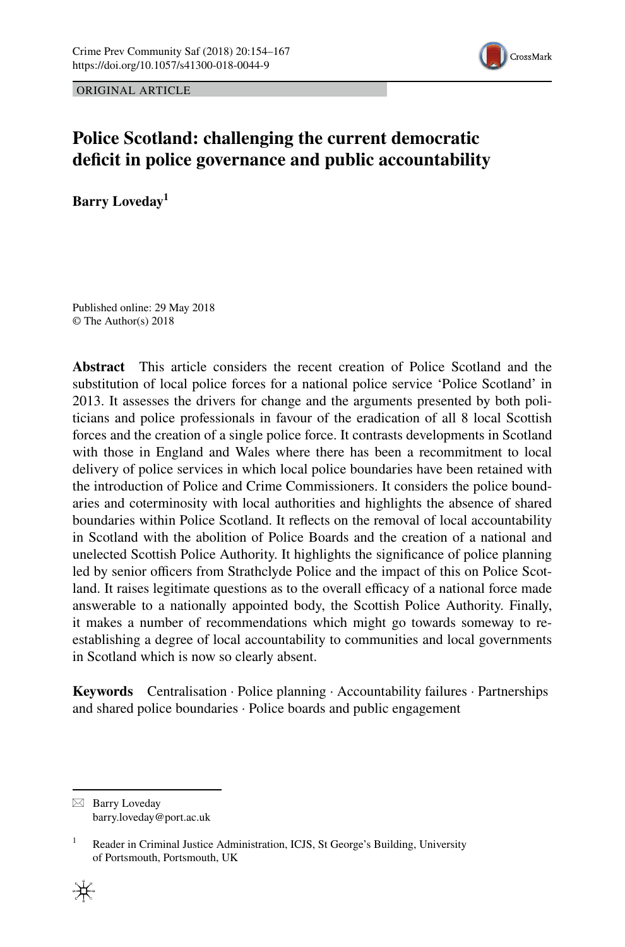

ORIGINAL ARTICLE

# **Police Scotland: challenging the current democratic defcit in police governance and public accountability**

**Barry Loveday1**

Published online: 29 May 2018 © The Author(s) 2018

**Abstract** This article considers the recent creation of Police Scotland and the substitution of local police forces for a national police service 'Police Scotland' in 2013. It assesses the drivers for change and the arguments presented by both politicians and police professionals in favour of the eradication of all 8 local Scottish forces and the creation of a single police force. It contrasts developments in Scotland with those in England and Wales where there has been a recommitment to local delivery of police services in which local police boundaries have been retained with the introduction of Police and Crime Commissioners. It considers the police boundaries and coterminosity with local authorities and highlights the absence of shared boundaries within Police Scotland. It refects on the removal of local accountability in Scotland with the abolition of Police Boards and the creation of a national and unelected Scottish Police Authority. It highlights the signifcance of police planning led by senior officers from Strathclyde Police and the impact of this on Police Scotland. It raises legitimate questions as to the overall efficacy of a national force made answerable to a nationally appointed body, the Scottish Police Authority. Finally, it makes a number of recommendations which might go towards someway to reestablishing a degree of local accountability to communities and local governments in Scotland which is now so clearly absent.

**Keywords** Centralisation · Police planning · Accountability failures · Partnerships and shared police boundaries · Police boards and public engagement

 $\boxtimes$  Barry Loveday barry.loveday@port.ac.uk

<sup>&</sup>lt;sup>1</sup> Reader in Criminal Justice Administration, ICJS, St George's Building, University of Portsmouth, Portsmouth, UK

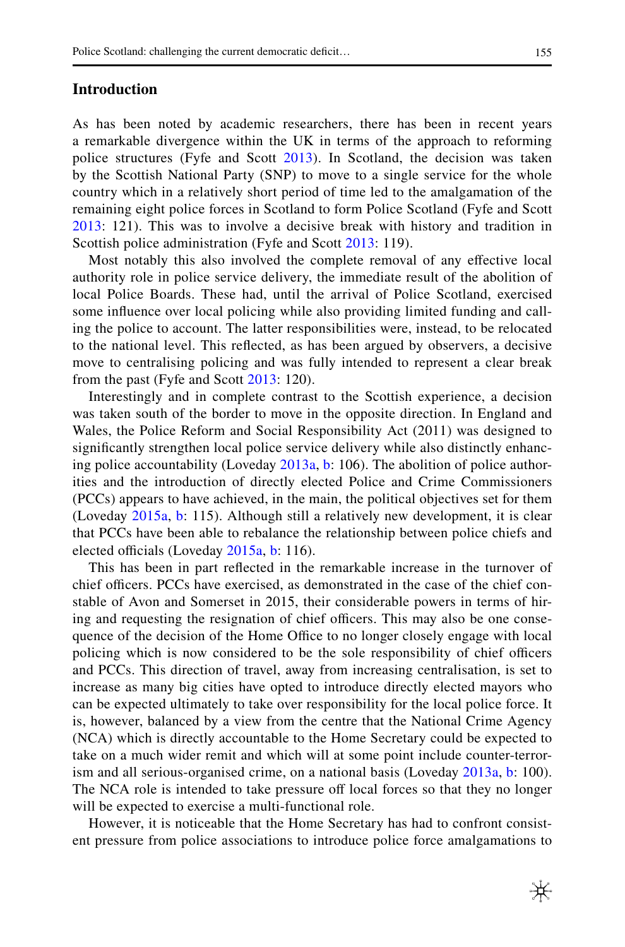# **Introduction**

As has been noted by academic researchers, there has been in recent years a remarkable divergence within the UK in terms of the approach to reforming police structures (Fyfe and Scott [2013](#page-13-0)). In Scotland, the decision was taken by the Scottish National Party (SNP) to move to a single service for the whole country which in a relatively short period of time led to the amalgamation of the remaining eight police forces in Scotland to form Police Scotland (Fyfe and Scott [2013:](#page-13-0) 121). This was to involve a decisive break with history and tradition in Scottish police administration (Fyfe and Scott [2013:](#page-13-0) 119).

Most notably this also involved the complete removal of any efective local authority role in police service delivery, the immediate result of the abolition of local Police Boards. These had, until the arrival of Police Scotland, exercised some infuence over local policing while also providing limited funding and calling the police to account. The latter responsibilities were, instead, to be relocated to the national level. This refected, as has been argued by observers, a decisive move to centralising policing and was fully intended to represent a clear break from the past (Fyfe and Scott [2013:](#page-13-0) 120).

Interestingly and in complete contrast to the Scottish experience, a decision was taken south of the border to move in the opposite direction. In England and Wales, the Police Reform and Social Responsibility Act (2011) was designed to signifcantly strengthen local police service delivery while also distinctly enhancing police accountability (Loveday [2013a](#page-13-1), [b:](#page-13-2) 106). The abolition of police authorities and the introduction of directly elected Police and Crime Commissioners (PCCs) appears to have achieved, in the main, the political objectives set for them (Loveday [2015a](#page-13-3), [b](#page-13-4): 115). Although still a relatively new development, it is clear that PCCs have been able to rebalance the relationship between police chiefs and elected officials (Loveday [2015a,](#page-13-3) [b](#page-13-4): 116).

This has been in part refected in the remarkable increase in the turnover of chief officers. PCCs have exercised, as demonstrated in the case of the chief constable of Avon and Somerset in 2015, their considerable powers in terms of hiring and requesting the resignation of chief officers. This may also be one consequence of the decision of the Home Office to no longer closely engage with local policing which is now considered to be the sole responsibility of chief officers and PCCs. This direction of travel, away from increasing centralisation, is set to increase as many big cities have opted to introduce directly elected mayors who can be expected ultimately to take over responsibility for the local police force. It is, however, balanced by a view from the centre that the National Crime Agency (NCA) which is directly accountable to the Home Secretary could be expected to take on a much wider remit and which will at some point include counter-terrorism and all serious-organised crime, on a national basis (Loveday [2013a,](#page-13-1) [b](#page-13-2): 100). The NCA role is intended to take pressure off local forces so that they no longer will be expected to exercise a multi-functional role.

However, it is noticeable that the Home Secretary has had to confront consistent pressure from police associations to introduce police force amalgamations to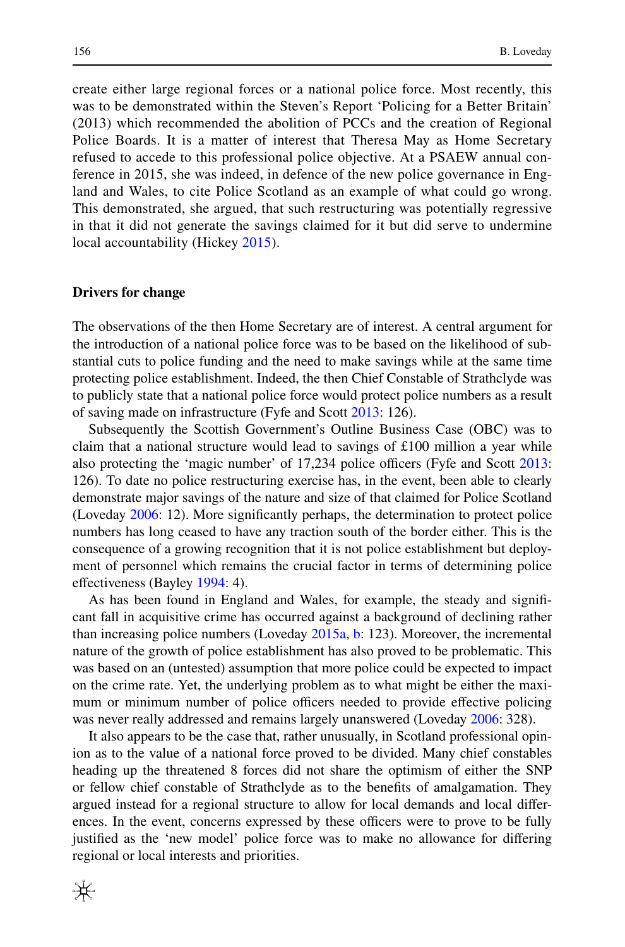create either large regional forces or a national police force. Most recently, this was to be demonstrated within the Steven's Report 'Policing for a Better Britain' (2013) which recommended the abolition of PCCs and the creation of Regional Police Boards. It is a matter of interest that Theresa May as Home Secretary refused to accede to this professional police objective. At a PSAEW annual conference in 2015, she was indeed, in defence of the new police governance in England and Wales, to cite Police Scotland as an example of what could go wrong. This demonstrated, she argued, that such restructuring was potentially regressive in that it did not generate the savings claimed for it but did serve to undermine local accountability (Hickey [2015\)](#page-13-5).

#### **Drivers for change**

The observations of the then Home Secretary are of interest. A central argument for the introduction of a national police force was to be based on the likelihood of substantial cuts to police funding and the need to make savings while at the same time protecting police establishment. Indeed, the then Chief Constable of Strathclyde was to publicly state that a national police force would protect police numbers as a result of saving made on infrastructure (Fyfe and Scott [2013](#page-13-0): 126).

Subsequently the Scottish Government's Outline Business Case (OBC) was to claim that a national structure would lead to savings of  $£100$  million a year while also protecting the 'magic number' of 17,234 police officers (Fyfe and Scott [2013:](#page-13-0) 126). To date no police restructuring exercise has, in the event, been able to clearly demonstrate major savings of the nature and size of that claimed for Police Scotland (Loveday [2006](#page-13-6): 12). More signifcantly perhaps, the determination to protect police numbers has long ceased to have any traction south of the border either. This is the consequence of a growing recognition that it is not police establishment but deployment of personnel which remains the crucial factor in terms of determining police efectiveness (Bayley [1994](#page-12-0): 4).

As has been found in England and Wales, for example, the steady and signifcant fall in acquisitive crime has occurred against a background of declining rather than increasing police numbers (Loveday [2015a](#page-13-3), [b](#page-13-4): 123). Moreover, the incremental nature of the growth of police establishment has also proved to be problematic. This was based on an (untested) assumption that more police could be expected to impact on the crime rate. Yet, the underlying problem as to what might be either the maximum or minimum number of police officers needed to provide effective policing was never really addressed and remains largely unanswered (Loveday [2006:](#page-13-6) 328).

It also appears to be the case that, rather unusually, in Scotland professional opinion as to the value of a national force proved to be divided. Many chief constables heading up the threatened 8 forces did not share the optimism of either the SNP or fellow chief constable of Strathclyde as to the benefts of amalgamation. They argued instead for a regional structure to allow for local demands and local diferences. In the event, concerns expressed by these officers were to prove to be fully justifed as the 'new model' police force was to make no allowance for difering regional or local interests and priorities.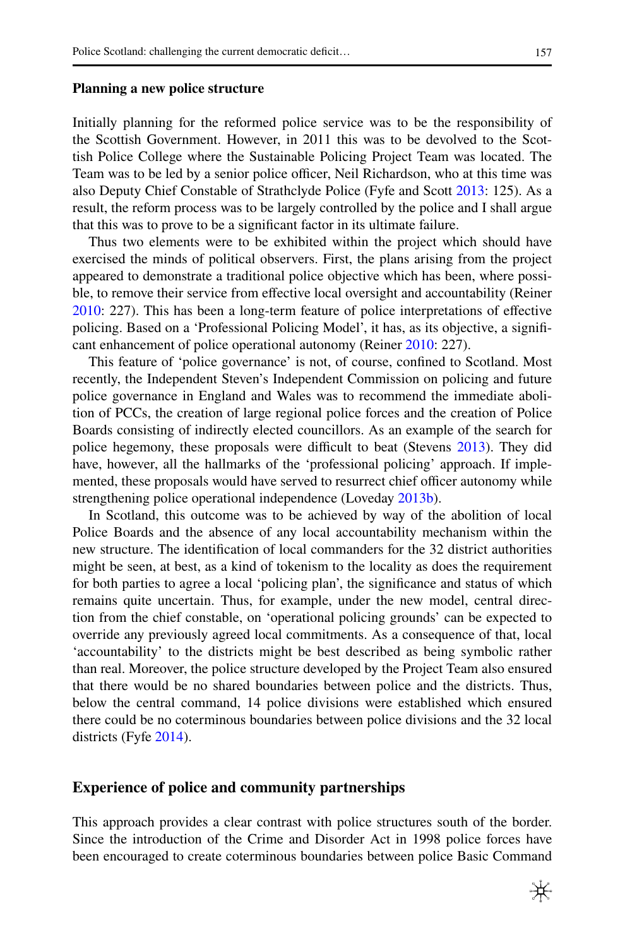#### **Planning a new police structure**

Initially planning for the reformed police service was to be the responsibility of the Scottish Government. However, in 2011 this was to be devolved to the Scottish Police College where the Sustainable Policing Project Team was located. The Team was to be led by a senior police officer, Neil Richardson, who at this time was also Deputy Chief Constable of Strathclyde Police (Fyfe and Scott [2013:](#page-13-0) 125). As a result, the reform process was to be largely controlled by the police and I shall argue that this was to prove to be a signifcant factor in its ultimate failure.

Thus two elements were to be exhibited within the project which should have exercised the minds of political observers. First, the plans arising from the project appeared to demonstrate a traditional police objective which has been, where possible, to remove their service from efective local oversight and accountability (Reiner [2010](#page-13-7): 227). This has been a long-term feature of police interpretations of efective policing. Based on a 'Professional Policing Model', it has, as its objective, a signifcant enhancement of police operational autonomy (Reiner [2010](#page-13-7): 227).

This feature of 'police governance' is not, of course, confned to Scotland. Most recently, the Independent Steven's Independent Commission on policing and future police governance in England and Wales was to recommend the immediate abolition of PCCs, the creation of large regional police forces and the creation of Police Boards consisting of indirectly elected councillors. As an example of the search for police hegemony, these proposals were difficult to beat (Stevens [2013\)](#page-13-8). They did have, however, all the hallmarks of the 'professional policing' approach. If implemented, these proposals would have served to resurrect chief officer autonomy while strengthening police operational independence (Loveday [2013b\)](#page-13-2).

In Scotland, this outcome was to be achieved by way of the abolition of local Police Boards and the absence of any local accountability mechanism within the new structure. The identifcation of local commanders for the 32 district authorities might be seen, at best, as a kind of tokenism to the locality as does the requirement for both parties to agree a local 'policing plan', the signifcance and status of which remains quite uncertain. Thus, for example, under the new model, central direction from the chief constable, on 'operational policing grounds' can be expected to override any previously agreed local commitments. As a consequence of that, local 'accountability' to the districts might be best described as being symbolic rather than real. Moreover, the police structure developed by the Project Team also ensured that there would be no shared boundaries between police and the districts. Thus, below the central command, 14 police divisions were established which ensured there could be no coterminous boundaries between police divisions and the 32 local districts (Fyfe [2014](#page-13-9)).

## **Experience of police and community partnerships**

This approach provides a clear contrast with police structures south of the border. Since the introduction of the Crime and Disorder Act in 1998 police forces have been encouraged to create coterminous boundaries between police Basic Command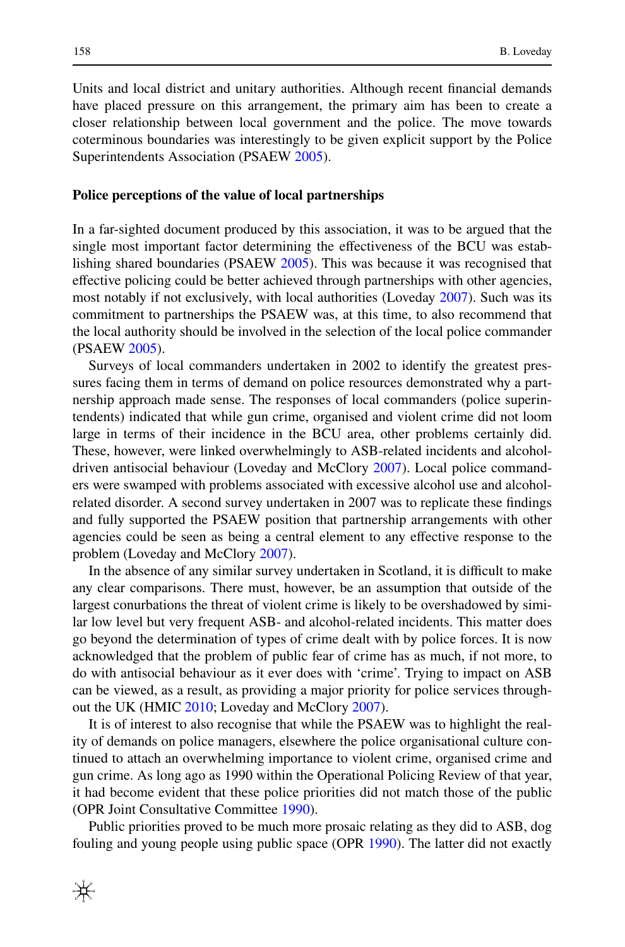Units and local district and unitary authorities. Although recent fnancial demands have placed pressure on this arrangement, the primary aim has been to create a closer relationship between local government and the police. The move towards coterminous boundaries was interestingly to be given explicit support by the Police Superintendents Association (PSAEW [2005](#page-13-10)).

#### **Police perceptions of the value of local partnerships**

In a far-sighted document produced by this association, it was to be argued that the single most important factor determining the efectiveness of the BCU was establishing shared boundaries (PSAEW [2005](#page-13-10)). This was because it was recognised that efective policing could be better achieved through partnerships with other agencies, most notably if not exclusively, with local authorities (Loveday [2007](#page-13-11)). Such was its commitment to partnerships the PSAEW was, at this time, to also recommend that the local authority should be involved in the selection of the local police commander (PSAEW [2005](#page-13-10)).

Surveys of local commanders undertaken in 2002 to identify the greatest pressures facing them in terms of demand on police resources demonstrated why a partnership approach made sense. The responses of local commanders (police superintendents) indicated that while gun crime, organised and violent crime did not loom large in terms of their incidence in the BCU area, other problems certainly did. These, however, were linked overwhelmingly to ASB-related incidents and alcoholdriven antisocial behaviour (Loveday and McClory [2007\)](#page-13-12). Local police commanders were swamped with problems associated with excessive alcohol use and alcoholrelated disorder. A second survey undertaken in 2007 was to replicate these fndings and fully supported the PSAEW position that partnership arrangements with other agencies could be seen as being a central element to any efective response to the problem (Loveday and McClory [2007\)](#page-13-12).

In the absence of any similar survey undertaken in Scotland, it is difficult to make any clear comparisons. There must, however, be an assumption that outside of the largest conurbations the threat of violent crime is likely to be overshadowed by similar low level but very frequent ASB- and alcohol-related incidents. This matter does go beyond the determination of types of crime dealt with by police forces. It is now acknowledged that the problem of public fear of crime has as much, if not more, to do with antisocial behaviour as it ever does with 'crime'. Trying to impact on ASB can be viewed, as a result, as providing a major priority for police services through-out the UK (HMIC [2010;](#page-13-13) Loveday and McClory [2007\)](#page-13-12).

It is of interest to also recognise that while the PSAEW was to highlight the reality of demands on police managers, elsewhere the police organisational culture continued to attach an overwhelming importance to violent crime, organised crime and gun crime. As long ago as 1990 within the Operational Policing Review of that year, it had become evident that these police priorities did not match those of the public (OPR Joint Consultative Committee [1990\)](#page-13-14).

Public priorities proved to be much more prosaic relating as they did to ASB, dog fouling and young people using public space (OPR [1990\)](#page-13-14). The latter did not exactly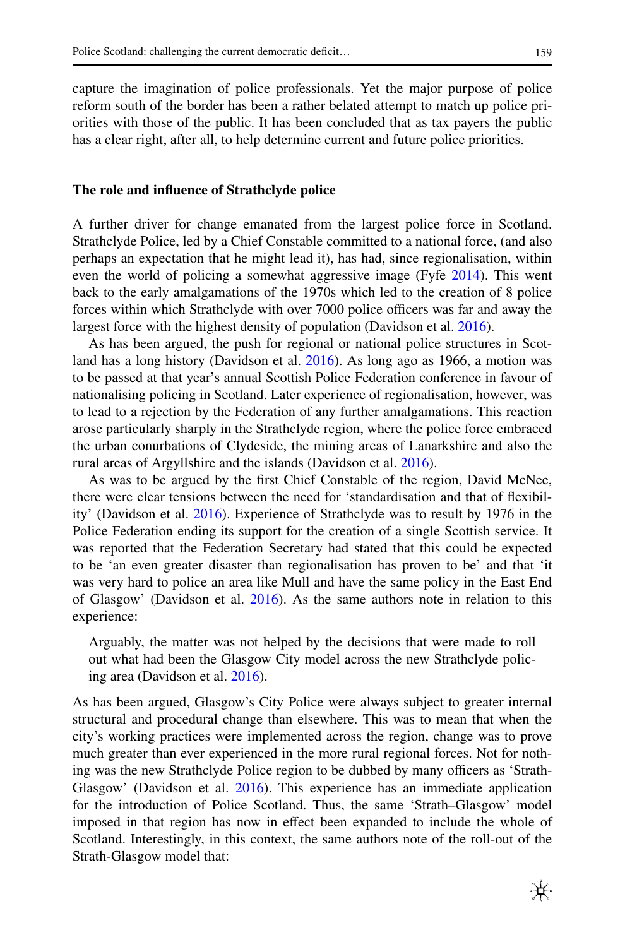capture the imagination of police professionals. Yet the major purpose of police reform south of the border has been a rather belated attempt to match up police priorities with those of the public. It has been concluded that as tax payers the public has a clear right, after all, to help determine current and future police priorities.

#### **The role and infuence of Strathclyde police**

A further driver for change emanated from the largest police force in Scotland. Strathclyde Police, led by a Chief Constable committed to a national force, (and also perhaps an expectation that he might lead it), has had, since regionalisation, within even the world of policing a somewhat aggressive image (Fyfe [2014\)](#page-13-9). This went back to the early amalgamations of the 1970s which led to the creation of 8 police forces within which Strathclyde with over 7000 police officers was far and away the largest force with the highest density of population (Davidson et al. [2016](#page-13-15)).

As has been argued, the push for regional or national police structures in Scotland has a long history (Davidson et al. [2016](#page-13-15)). As long ago as 1966, a motion was to be passed at that year's annual Scottish Police Federation conference in favour of nationalising policing in Scotland. Later experience of regionalisation, however, was to lead to a rejection by the Federation of any further amalgamations. This reaction arose particularly sharply in the Strathclyde region, where the police force embraced the urban conurbations of Clydeside, the mining areas of Lanarkshire and also the rural areas of Argyllshire and the islands (Davidson et al. [2016\)](#page-13-15).

As was to be argued by the frst Chief Constable of the region, David McNee, there were clear tensions between the need for 'standardisation and that of fexibility' (Davidson et al. [2016](#page-13-15)). Experience of Strathclyde was to result by 1976 in the Police Federation ending its support for the creation of a single Scottish service. It was reported that the Federation Secretary had stated that this could be expected to be 'an even greater disaster than regionalisation has proven to be' and that 'it was very hard to police an area like Mull and have the same policy in the East End of Glasgow' (Davidson et al. [2016\)](#page-13-15). As the same authors note in relation to this experience:

Arguably, the matter was not helped by the decisions that were made to roll out what had been the Glasgow City model across the new Strathclyde policing area (Davidson et al. [2016](#page-13-15)).

As has been argued, Glasgow's City Police were always subject to greater internal structural and procedural change than elsewhere. This was to mean that when the city's working practices were implemented across the region, change was to prove much greater than ever experienced in the more rural regional forces. Not for nothing was the new Strathclyde Police region to be dubbed by many officers as 'Strath-Glasgow' (Davidson et al. [2016\)](#page-13-15). This experience has an immediate application for the introduction of Police Scotland. Thus, the same 'Strath–Glasgow' model imposed in that region has now in efect been expanded to include the whole of Scotland. Interestingly, in this context, the same authors note of the roll-out of the Strath-Glasgow model that: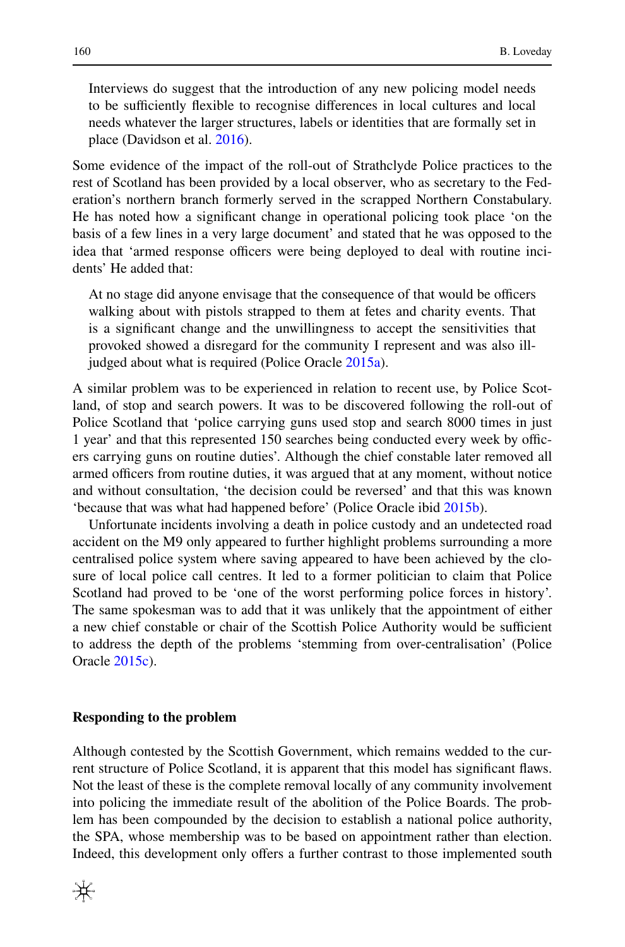Interviews do suggest that the introduction of any new policing model needs to be sufficiently flexible to recognise differences in local cultures and local needs whatever the larger structures, labels or identities that are formally set in place (Davidson et al. [2016\)](#page-13-15).

Some evidence of the impact of the roll-out of Strathclyde Police practices to the rest of Scotland has been provided by a local observer, who as secretary to the Federation's northern branch formerly served in the scrapped Northern Constabulary. He has noted how a signifcant change in operational policing took place 'on the basis of a few lines in a very large document' and stated that he was opposed to the idea that 'armed response officers were being deployed to deal with routine incidents' He added that:

At no stage did anyone envisage that the consequence of that would be officers walking about with pistols strapped to them at fetes and charity events. That is a signifcant change and the unwillingness to accept the sensitivities that provoked showed a disregard for the community I represent and was also ill-judged about what is required (Police Oracle [2015a\)](#page-13-16).

A similar problem was to be experienced in relation to recent use, by Police Scotland, of stop and search powers. It was to be discovered following the roll-out of Police Scotland that 'police carrying guns used stop and search 8000 times in just 1 year' and that this represented 150 searches being conducted every week by officers carrying guns on routine duties'. Although the chief constable later removed all armed officers from routine duties, it was argued that at any moment, without notice and without consultation, 'the decision could be reversed' and that this was known 'because that was what had happened before' (Police Oracle ibid [2015b](#page-13-17)).

Unfortunate incidents involving a death in police custody and an undetected road accident on the M9 only appeared to further highlight problems surrounding a more centralised police system where saving appeared to have been achieved by the closure of local police call centres. It led to a former politician to claim that Police Scotland had proved to be 'one of the worst performing police forces in history'. The same spokesman was to add that it was unlikely that the appointment of either a new chief constable or chair of the Scottish Police Authority would be sufficient to address the depth of the problems 'stemming from over-centralisation' (Police Oracle [2015c\)](#page-13-18).

#### **Responding to the problem**

Although contested by the Scottish Government, which remains wedded to the current structure of Police Scotland, it is apparent that this model has signifcant faws. Not the least of these is the complete removal locally of any community involvement into policing the immediate result of the abolition of the Police Boards. The problem has been compounded by the decision to establish a national police authority, the SPA, whose membership was to be based on appointment rather than election. Indeed, this development only ofers a further contrast to those implemented south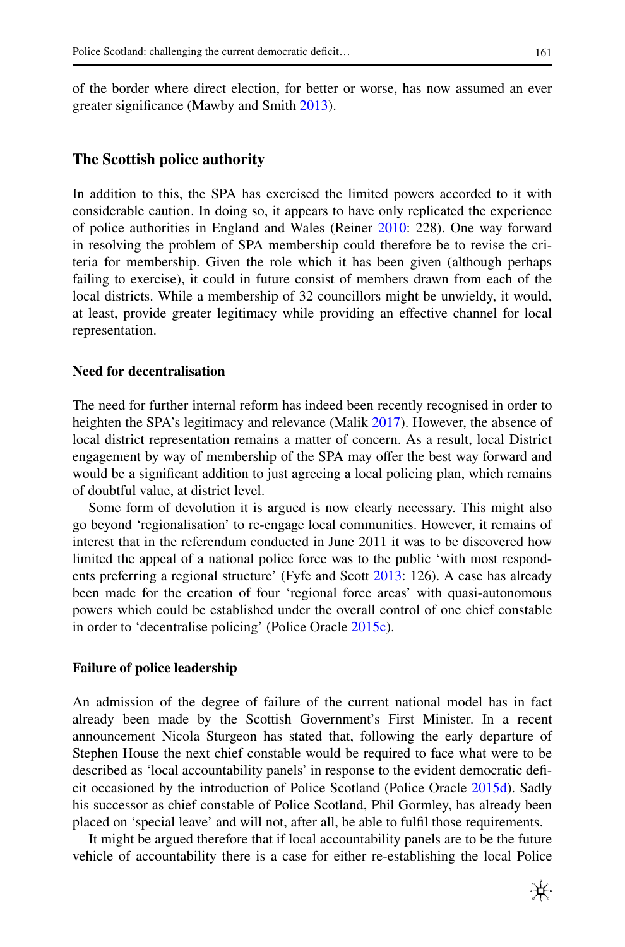of the border where direct election, for better or worse, has now assumed an ever greater signifcance (Mawby and Smith [2013\)](#page-13-19).

## **The Scottish police authority**

In addition to this, the SPA has exercised the limited powers accorded to it with considerable caution. In doing so, it appears to have only replicated the experience of police authorities in England and Wales (Reiner [2010:](#page-13-7) 228). One way forward in resolving the problem of SPA membership could therefore be to revise the criteria for membership. Given the role which it has been given (although perhaps failing to exercise), it could in future consist of members drawn from each of the local districts. While a membership of 32 councillors might be unwieldy, it would, at least, provide greater legitimacy while providing an efective channel for local representation.

## **Need for decentralisation**

The need for further internal reform has indeed been recently recognised in order to heighten the SPA's legitimacy and relevance (Malik [2017\)](#page-13-20). However, the absence of local district representation remains a matter of concern. As a result, local District engagement by way of membership of the SPA may offer the best way forward and would be a signifcant addition to just agreeing a local policing plan, which remains of doubtful value, at district level.

Some form of devolution it is argued is now clearly necessary. This might also go beyond 'regionalisation' to re-engage local communities. However, it remains of interest that in the referendum conducted in June 2011 it was to be discovered how limited the appeal of a national police force was to the public 'with most respondents preferring a regional structure' (Fyfe and Scott [2013:](#page-13-0) 126). A case has already been made for the creation of four 'regional force areas' with quasi-autonomous powers which could be established under the overall control of one chief constable in order to 'decentralise policing' (Police Oracle [2015c\)](#page-13-18).

#### **Failure of police leadership**

An admission of the degree of failure of the current national model has in fact already been made by the Scottish Government's First Minister. In a recent announcement Nicola Sturgeon has stated that, following the early departure of Stephen House the next chief constable would be required to face what were to be described as 'local accountability panels' in response to the evident democratic defcit occasioned by the introduction of Police Scotland (Police Oracle [2015d\)](#page-13-21). Sadly his successor as chief constable of Police Scotland, Phil Gormley, has already been placed on 'special leave' and will not, after all, be able to fulfl those requirements.

It might be argued therefore that if local accountability panels are to be the future vehicle of accountability there is a case for either re-establishing the local Police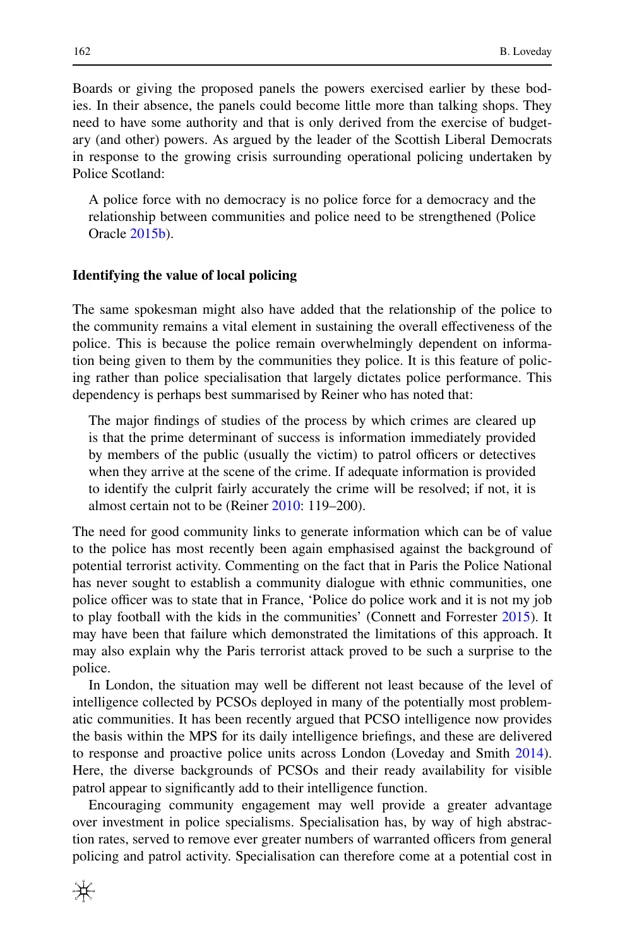Boards or giving the proposed panels the powers exercised earlier by these bodies. In their absence, the panels could become little more than talking shops. They need to have some authority and that is only derived from the exercise of budgetary (and other) powers. As argued by the leader of the Scottish Liberal Democrats in response to the growing crisis surrounding operational policing undertaken by Police Scotland:

A police force with no democracy is no police force for a democracy and the relationship between communities and police need to be strengthened (Police Oracle [2015b](#page-13-17)).

### **Identifying the value of local policing**

The same spokesman might also have added that the relationship of the police to the community remains a vital element in sustaining the overall efectiveness of the police. This is because the police remain overwhelmingly dependent on information being given to them by the communities they police. It is this feature of policing rather than police specialisation that largely dictates police performance. This dependency is perhaps best summarised by Reiner who has noted that:

The major fndings of studies of the process by which crimes are cleared up is that the prime determinant of success is information immediately provided by members of the public (usually the victim) to patrol officers or detectives when they arrive at the scene of the crime. If adequate information is provided to identify the culprit fairly accurately the crime will be resolved; if not, it is almost certain not to be (Reiner [2010](#page-13-7): 119–200).

The need for good community links to generate information which can be of value to the police has most recently been again emphasised against the background of potential terrorist activity. Commenting on the fact that in Paris the Police National has never sought to establish a community dialogue with ethnic communities, one police officer was to state that in France, 'Police do police work and it is not my job to play football with the kids in the communities' (Connett and Forrester [2015](#page-12-1)). It may have been that failure which demonstrated the limitations of this approach. It may also explain why the Paris terrorist attack proved to be such a surprise to the police.

In London, the situation may well be diferent not least because of the level of intelligence collected by PCSOs deployed in many of the potentially most problematic communities. It has been recently argued that PCSO intelligence now provides the basis within the MPS for its daily intelligence briefngs, and these are delivered to response and proactive police units across London (Loveday and Smith [2014\)](#page-13-22). Here, the diverse backgrounds of PCSOs and their ready availability for visible patrol appear to signifcantly add to their intelligence function.

Encouraging community engagement may well provide a greater advantage over investment in police specialisms. Specialisation has, by way of high abstraction rates, served to remove ever greater numbers of warranted officers from general policing and patrol activity. Specialisation can therefore come at a potential cost in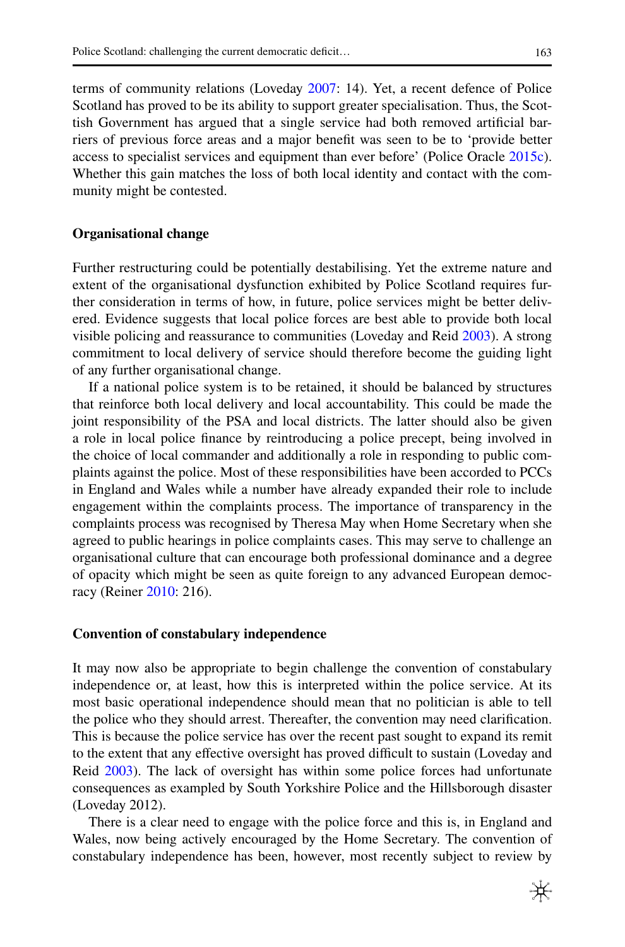terms of community relations (Loveday [2007:](#page-13-11) 14). Yet, a recent defence of Police Scotland has proved to be its ability to support greater specialisation. Thus, the Scottish Government has argued that a single service had both removed artifcial barriers of previous force areas and a major beneft was seen to be to 'provide better access to specialist services and equipment than ever before' (Police Oracle [2015c\)](#page-13-18). Whether this gain matches the loss of both local identity and contact with the community might be contested.

### **Organisational change**

Further restructuring could be potentially destabilising. Yet the extreme nature and extent of the organisational dysfunction exhibited by Police Scotland requires further consideration in terms of how, in future, police services might be better delivered. Evidence suggests that local police forces are best able to provide both local visible policing and reassurance to communities (Loveday and Reid [2003](#page-13-23)). A strong commitment to local delivery of service should therefore become the guiding light of any further organisational change.

If a national police system is to be retained, it should be balanced by structures that reinforce both local delivery and local accountability. This could be made the joint responsibility of the PSA and local districts. The latter should also be given a role in local police fnance by reintroducing a police precept, being involved in the choice of local commander and additionally a role in responding to public complaints against the police. Most of these responsibilities have been accorded to PCCs in England and Wales while a number have already expanded their role to include engagement within the complaints process. The importance of transparency in the complaints process was recognised by Theresa May when Home Secretary when she agreed to public hearings in police complaints cases. This may serve to challenge an organisational culture that can encourage both professional dominance and a degree of opacity which might be seen as quite foreign to any advanced European democracy (Reiner [2010](#page-13-7): 216).

#### **Convention of constabulary independence**

It may now also be appropriate to begin challenge the convention of constabulary independence or, at least, how this is interpreted within the police service. At its most basic operational independence should mean that no politician is able to tell the police who they should arrest. Thereafter, the convention may need clarifcation. This is because the police service has over the recent past sought to expand its remit to the extent that any efective oversight has proved difcult to sustain (Loveday and Reid [2003\)](#page-13-23). The lack of oversight has within some police forces had unfortunate consequences as exampled by South Yorkshire Police and the Hillsborough disaster (Loveday 2012).

There is a clear need to engage with the police force and this is, in England and Wales, now being actively encouraged by the Home Secretary. The convention of constabulary independence has been, however, most recently subject to review by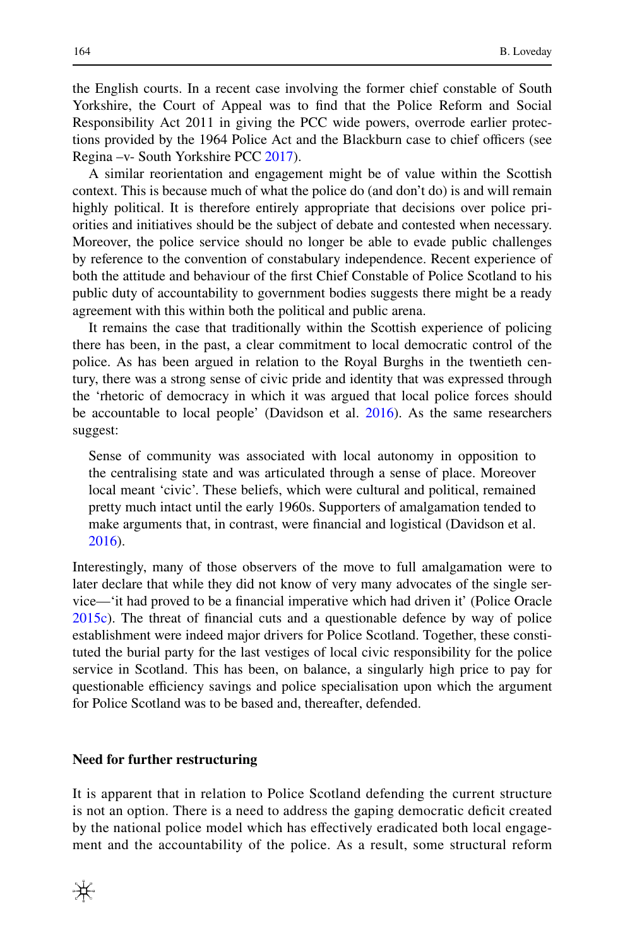the English courts. In a recent case involving the former chief constable of South Yorkshire, the Court of Appeal was to fnd that the Police Reform and Social Responsibility Act 2011 in giving the PCC wide powers, overrode earlier protections provided by the 1964 Police Act and the Blackburn case to chief officers (see Regina –v- South Yorkshire PCC [2017](#page-13-24)).

A similar reorientation and engagement might be of value within the Scottish context. This is because much of what the police do (and don't do) is and will remain highly political. It is therefore entirely appropriate that decisions over police priorities and initiatives should be the subject of debate and contested when necessary. Moreover, the police service should no longer be able to evade public challenges by reference to the convention of constabulary independence. Recent experience of both the attitude and behaviour of the frst Chief Constable of Police Scotland to his public duty of accountability to government bodies suggests there might be a ready agreement with this within both the political and public arena.

It remains the case that traditionally within the Scottish experience of policing there has been, in the past, a clear commitment to local democratic control of the police. As has been argued in relation to the Royal Burghs in the twentieth century, there was a strong sense of civic pride and identity that was expressed through the 'rhetoric of democracy in which it was argued that local police forces should be accountable to local people' (Davidson et al. [2016](#page-13-15)). As the same researchers suggest:

Sense of community was associated with local autonomy in opposition to the centralising state and was articulated through a sense of place. Moreover local meant 'civic'. These beliefs, which were cultural and political, remained pretty much intact until the early 1960s. Supporters of amalgamation tended to make arguments that, in contrast, were fnancial and logistical (Davidson et al. [2016](#page-13-15)).

Interestingly, many of those observers of the move to full amalgamation were to later declare that while they did not know of very many advocates of the single service—'it had proved to be a fnancial imperative which had driven it' (Police Oracle [2015c](#page-13-18)). The threat of fnancial cuts and a questionable defence by way of police establishment were indeed major drivers for Police Scotland. Together, these constituted the burial party for the last vestiges of local civic responsibility for the police service in Scotland. This has been, on balance, a singularly high price to pay for questionable efficiency savings and police specialisation upon which the argument for Police Scotland was to be based and, thereafter, defended.

#### **Need for further restructuring**

It is apparent that in relation to Police Scotland defending the current structure is not an option. There is a need to address the gaping democratic defcit created by the national police model which has efectively eradicated both local engagement and the accountability of the police. As a result, some structural reform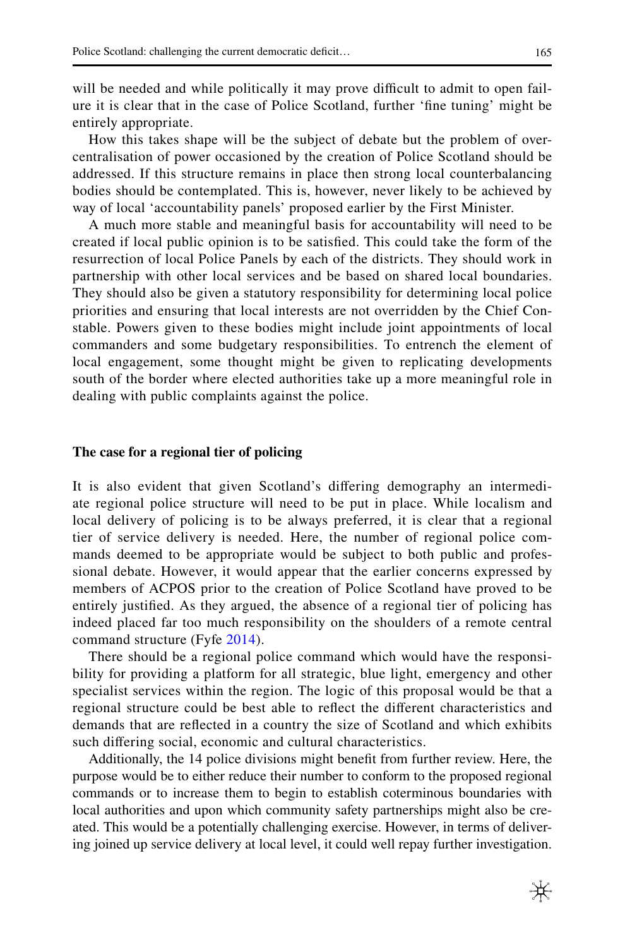will be needed and while politically it may prove difficult to admit to open failure it is clear that in the case of Police Scotland, further 'fne tuning' might be entirely appropriate.

How this takes shape will be the subject of debate but the problem of overcentralisation of power occasioned by the creation of Police Scotland should be addressed. If this structure remains in place then strong local counterbalancing bodies should be contemplated. This is, however, never likely to be achieved by way of local 'accountability panels' proposed earlier by the First Minister.

A much more stable and meaningful basis for accountability will need to be created if local public opinion is to be satisfed. This could take the form of the resurrection of local Police Panels by each of the districts. They should work in partnership with other local services and be based on shared local boundaries. They should also be given a statutory responsibility for determining local police priorities and ensuring that local interests are not overridden by the Chief Constable. Powers given to these bodies might include joint appointments of local commanders and some budgetary responsibilities. To entrench the element of local engagement, some thought might be given to replicating developments south of the border where elected authorities take up a more meaningful role in dealing with public complaints against the police.

#### **The case for a regional tier of policing**

It is also evident that given Scotland's difering demography an intermediate regional police structure will need to be put in place. While localism and local delivery of policing is to be always preferred, it is clear that a regional tier of service delivery is needed. Here, the number of regional police commands deemed to be appropriate would be subject to both public and professional debate. However, it would appear that the earlier concerns expressed by members of ACPOS prior to the creation of Police Scotland have proved to be entirely justifed. As they argued, the absence of a regional tier of policing has indeed placed far too much responsibility on the shoulders of a remote central command structure (Fyfe [2014](#page-13-9)).

There should be a regional police command which would have the responsibility for providing a platform for all strategic, blue light, emergency and other specialist services within the region. The logic of this proposal would be that a regional structure could be best able to refect the diferent characteristics and demands that are refected in a country the size of Scotland and which exhibits such difering social, economic and cultural characteristics.

Additionally, the 14 police divisions might beneft from further review. Here, the purpose would be to either reduce their number to conform to the proposed regional commands or to increase them to begin to establish coterminous boundaries with local authorities and upon which community safety partnerships might also be created. This would be a potentially challenging exercise. However, in terms of delivering joined up service delivery at local level, it could well repay further investigation.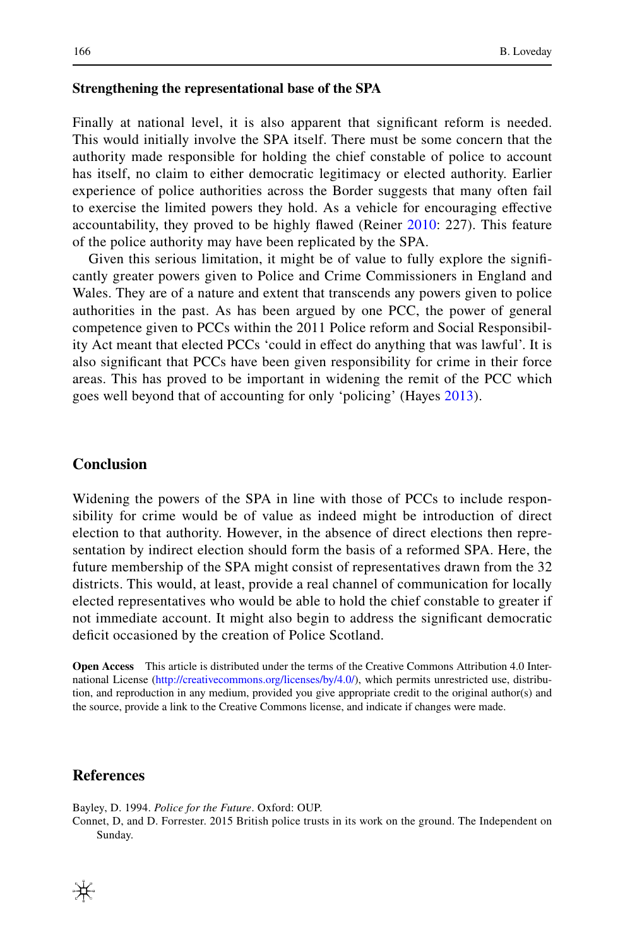#### **Strengthening the representational base of the SPA**

Finally at national level, it is also apparent that signifcant reform is needed. This would initially involve the SPA itself. There must be some concern that the authority made responsible for holding the chief constable of police to account has itself, no claim to either democratic legitimacy or elected authority. Earlier experience of police authorities across the Border suggests that many often fail to exercise the limited powers they hold. As a vehicle for encouraging efective accountability, they proved to be highly fawed (Reiner [2010](#page-13-7): 227). This feature of the police authority may have been replicated by the SPA.

Given this serious limitation, it might be of value to fully explore the signifcantly greater powers given to Police and Crime Commissioners in England and Wales. They are of a nature and extent that transcends any powers given to police authorities in the past. As has been argued by one PCC, the power of general competence given to PCCs within the 2011 Police reform and Social Responsibility Act meant that elected PCCs 'could in efect do anything that was lawful'. It is also signifcant that PCCs have been given responsibility for crime in their force areas. This has proved to be important in widening the remit of the PCC which goes well beyond that of accounting for only 'policing' (Hayes [2013](#page-13-25)).

## **Conclusion**

Widening the powers of the SPA in line with those of PCCs to include responsibility for crime would be of value as indeed might be introduction of direct election to that authority. However, in the absence of direct elections then representation by indirect election should form the basis of a reformed SPA. Here, the future membership of the SPA might consist of representatives drawn from the 32 districts. This would, at least, provide a real channel of communication for locally elected representatives who would be able to hold the chief constable to greater if not immediate account. It might also begin to address the signifcant democratic deficit occasioned by the creation of Police Scotland.

**Open Access** This article is distributed under the terms of the Creative Commons Attribution 4.0 International License (<http://creativecommons.org/licenses/by/4.0/>), which permits unrestricted use, distribution, and reproduction in any medium, provided you give appropriate credit to the original author(s) and the source, provide a link to the Creative Commons license, and indicate if changes were made.

## **References**

<span id="page-12-0"></span>Bayley, D. 1994. *Police for the Future*. Oxford: OUP.

<span id="page-12-1"></span>Connet, D, and D. Forrester. 2015 British police trusts in its work on the ground. The Independent on Sunday.